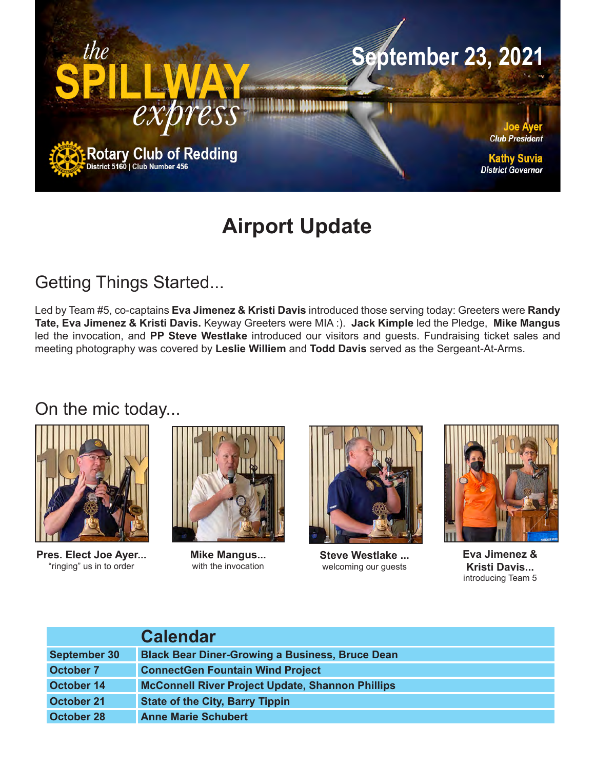

# **Airport Update**

# Getting Things Started...

Led by Team #5, co-captains **Eva Jimenez & Kristi Davis** introduced those serving today: Greeters were **Randy Tate, Eva Jimenez & Kristi Davis.** Keyway Greeters were MIA :). **Jack Kimple** led the Pledge, **Mike Mangus** led the invocation, and **PP Steve Westlake** introduced our visitors and guests. Fundraising ticket sales and meeting photography was covered by **Leslie Williem** and **Todd Davis** served as the Sergeant-At-Arms.

### On the mic today...



**Pres. Elect Joe Ayer...** "ringing" us in to order



**Mike Mangus...**  with the invocation



**Steve Westlake ...** welcoming our guests



**Eva Jimenez & Kristi Davis...** introducing Team 5

|                     | <b>Calendar</b>                                         |
|---------------------|---------------------------------------------------------|
| <b>September 30</b> | <b>Black Bear Diner-Growing a Business, Bruce Dean</b>  |
| <b>October 7</b>    | <b>ConnectGen Fountain Wind Project</b>                 |
| October 14          | <b>McConnell River Project Update, Shannon Phillips</b> |
| October 21          | <b>State of the City, Barry Tippin</b>                  |
| October 28          | <b>Anne Marie Schubert</b>                              |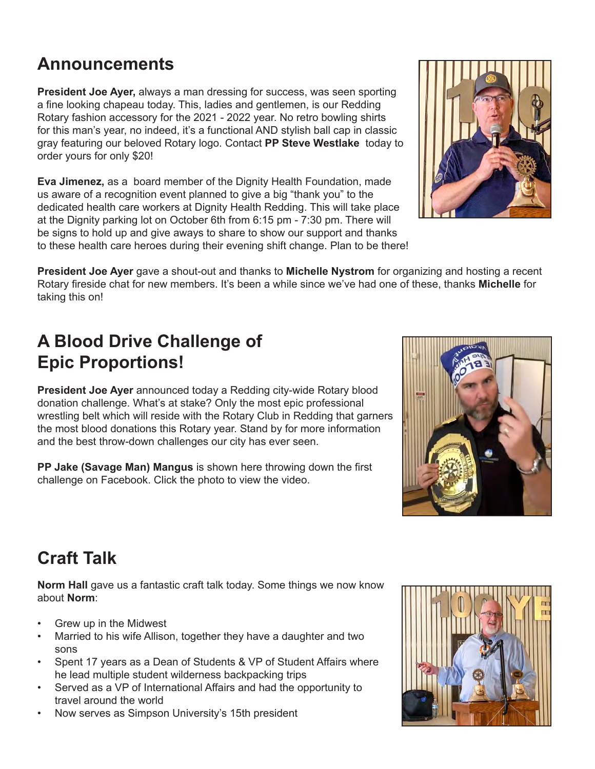# **Announcements**

**President Joe Ayer,** always a man dressing for success, was seen sporting a fine looking chapeau today. This, ladies and gentlemen, is our Redding Rotary fashion accessory for the 2021 - 2022 year. No retro bowling shirts for this man's year, no indeed, it's a functional AND stylish ball cap in classic gray featuring our beloved Rotary logo. Contact **PP Steve Westlake** today to order yours for only \$20!

**Eva Jimenez,** as a board member of the Dignity Health Foundation, made us aware of a recognition event planned to give a big "thank you" to the dedicated health care workers at Dignity Health Redding. This will take place at the Dignity parking lot on October 6th from 6:15 pm - 7:30 pm. There will be signs to hold up and give aways to share to show our support and thanks to these health care heroes during their evening shift change. Plan to be there!

**President Joe Ayer** gave a shout-out and thanks to **Michelle Nystrom** for organizing and hosting a recent Rotary fireside chat for new members. It's been a while since we've had one of these, thanks **Michelle** for taking this on!

# **A Blood Drive Challenge of Epic Proportions!**

**President Joe Ayer** announced today a Redding city-wide Rotary blood donation challenge. What's at stake? Only the most epic professional wrestling belt which will reside with the Rotary Club in Redding that garners the most blood donations this Rotary year. Stand by for more information and the best throw-down challenges our city has ever seen.

**PP Jake (Savage Man) Mangus** is shown here throwing down the first challenge on Facebook. Click the photo to view the video.

# **Craft Talk**

**Norm Hall** gave us a fantastic craft talk today. Some things we now know about **Norm**:

- Grew up in the Midwest
- Married to his wife Allison, together they have a daughter and two sons
- Spent 17 years as a Dean of Students & VP of Student Affairs where he lead multiple student wilderness backpacking trips
- Served as a VP of International Affairs and had the opportunity to travel around the world
- Now serves as Simpson University's 15th president





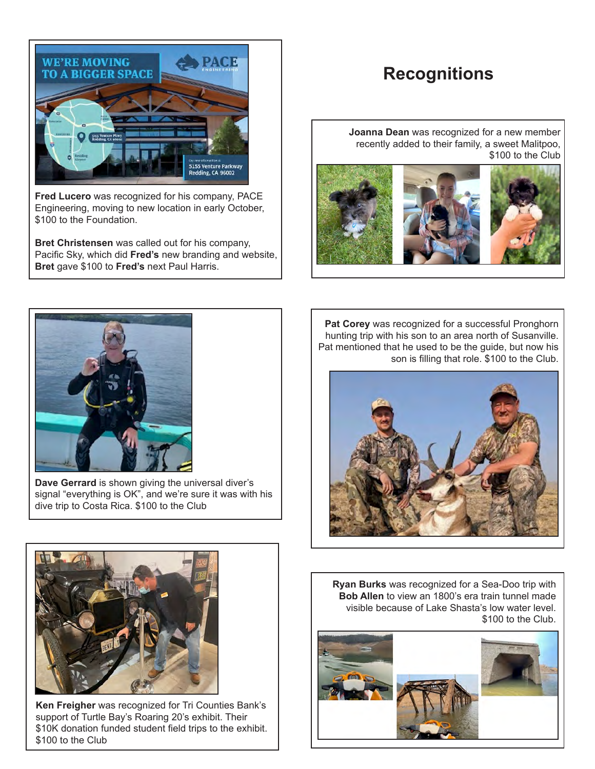

**Fred Lucero** was recognized for his company, PACE Engineering, moving to new location in early October, \$100 to the Foundation.

**Bret Christensen** was called out for his company, Pacific Sky, which did **Fred's** new branding and website, **Bret** gave \$100 to **Fred's** next Paul Harris.

### **Recognitions**

**Joanna Dean** was recognized for a new member recently added to their family, a sweet Malitpoo, \$100 to the Club





**Dave Gerrard** is shown giving the universal diver's signal "everything is OK", and we're sure it was with his dive trip to Costa Rica. \$100 to the Club

**Pat Corey** was recognized for a successful Pronghorn hunting trip with his son to an area north of Susanville. Pat mentioned that he used to be the guide, but now his son is filling that role. \$100 to the Club.





**Ken Freigher** was recognized for Tri Counties Bank's support of Turtle Bay's Roaring 20's exhibit. Their \$10K donation funded student field trips to the exhibit. \$100 to the Club

**Ryan Burks** was recognized for a Sea-Doo trip with **Bob Allen** to view an 1800's era train tunnel made visible because of Lake Shasta's low water level. \$100 to the Club.

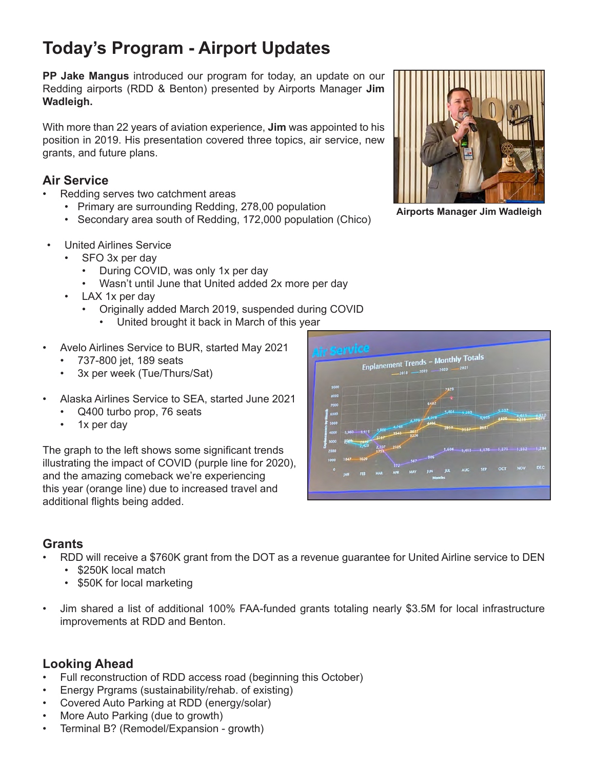# **Today's Program - Airport Updates**

**PP Jake Mangus** introduced our program for today, an update on our Redding airports (RDD & Benton) presented by Airports Manager **Jim Wadleigh.**

With more than 22 years of aviation experience, **Jim** was appointed to his position in 2019. His presentation covered three topics, air service, new grants, and future plans.

### **Air Service**

- Redding serves two catchment areas
	- Primary are surrounding Redding, 278,00 population
	- Secondary area south of Redding, 172,000 population (Chico)
- United Airlines Service
	- SFO 3x per day
		- During COVID, was only 1x per day
		- Wasn't until June that United added 2x more per day
	- LAX 1x per day
		- Originally added March 2019, suspended during COVID
			- United brought it back in March of this year
- Avelo Airlines Service to BUR, started May 2021
	- 737-800 jet, 189 seats
	- 3x per week (Tue/Thurs/Sat)
- Alaska Airlines Service to SEA, started June 2021
	- Q400 turbo prop, 76 seats
	- 1x per day

The graph to the left shows some significant trends illustrating the impact of COVID (purple line for 2020), and the amazing comeback we're experiencing this year (orange line) due to increased travel and additional flights being added.

#### **Grants**

- RDD will receive a \$760K grant from the DOT as a revenue guarantee for United Airline service to DEN
	- \$250K local match
	- \$50K for local marketing
- Jim shared a list of additional 100% FAA-funded grants totaling nearly \$3.5M for local infrastructure improvements at RDD and Benton.

#### **Looking Ahead**

- Full reconstruction of RDD access road (beginning this October)
- Energy Prgrams (sustainability/rehab. of existing)
- Covered Auto Parking at RDD (energy/solar)
- More Auto Parking (due to growth)
- Terminal B? (Remodel/Expansion growth)



**Airports Manager Jim Wadleigh**

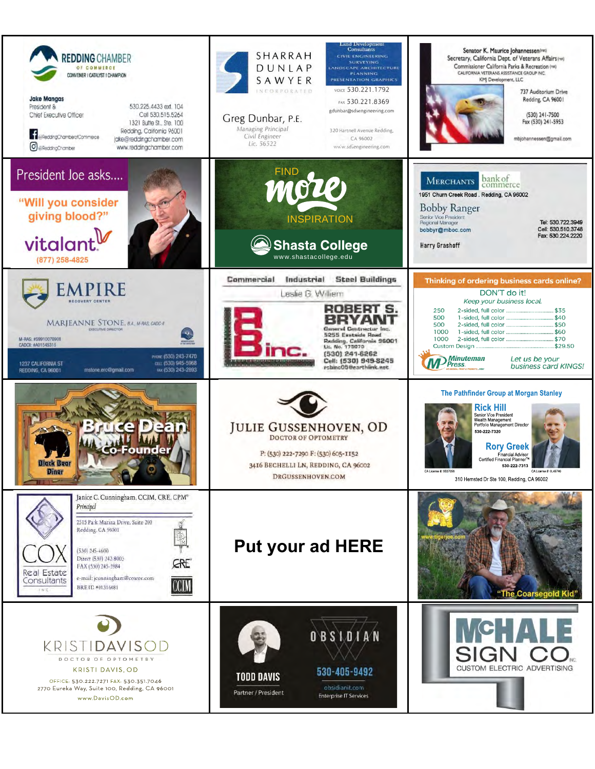